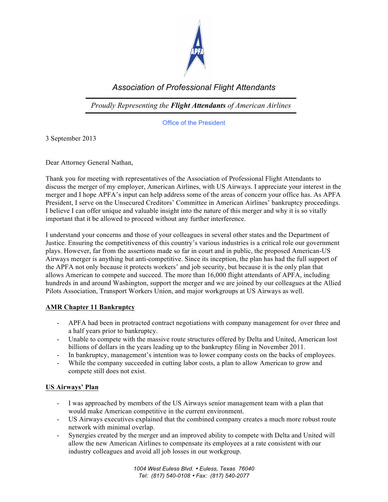

## *Association of Professional Flight Attendants*

*Proudly Representing the Flight Attendants of American Airlines*

Office of the President

3 September 2013

Dear Attorney General Nathan,

Thank you for meeting with representatives of the Association of Professional Flight Attendants to discuss the merger of my employer, American Airlines, with US Airways. I appreciate your interest in the merger and I hope APFA's input can help address some of the areas of concern your office has. As APFA President, I serve on the Unsecured Creditors' Committee in American Airlines' bankruptcy proceedings. I believe I can offer unique and valuable insight into the nature of this merger and why it is so vitally important that it be allowed to proceed without any further interference.

I understand your concerns and those of your colleagues in several other states and the Department of Justice. Ensuring the competitiveness of this country's various industries is a critical role our government plays. However, far from the assertions made so far in court and in public, the proposed American-US Airways merger is anything but anti-competitive. Since its inception, the plan has had the full support of the APFA not only because it protects workers' and job security, but because it is the only plan that allows American to compete and succeed. The more than 16,000 flight attendants of APFA, including hundreds in and around Washington, support the merger and we are joined by our colleagues at the Allied Pilots Association, Transport Workers Union, and major workgroups at US Airways as well.

## **AMR Chapter 11 Bankruptcy**

- APFA had been in protracted contract negotiations with company management for over three and a half years prior to bankruptcy.
- Unable to compete with the massive route structures offered by Delta and United, American lost billions of dollars in the years leading up to the bankruptcy filing in November 2011.
- In bankruptcy, management's intention was to lower company costs on the backs of employees.
- While the company succeeded in cutting labor costs, a plan to allow American to grow and compete still does not exist.

## **US Airways' Plan**

- I was approached by members of the US Airways senior management team with a plan that would make American competitive in the current environment.
- US Airways executives explained that the combined company creates a much more robust route network with minimal overlap.
- Synergies created by the merger and an improved ability to compete with Delta and United will allow the new American Airlines to compensate its employees at a rate consistent with our industry colleagues and avoid all job losses in our workgroup.

*1004 West Euless Blvd.* • *Euless, Texas 76040 Tel: (817) 540-0108* • *Fax: (817) 540-2077*